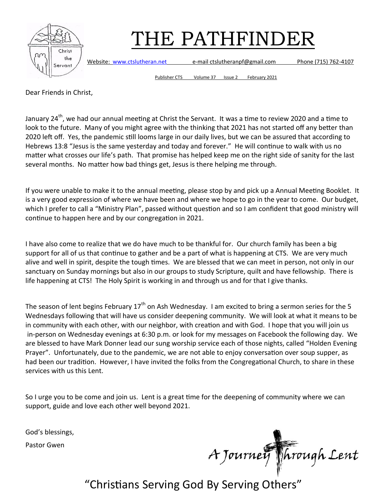

Website: [www.ctslutheran.net](http://www.ctslutheran.net/) e-mail ctslutheranpf@gmail.com Phone (715) 762-4107

Publisher CTS Volume 37 Issue 2 February 2021

Dear Friends in Christ,

January 24<sup>th</sup>, we had our annual meeting at Christ the Servant. It was a time to review 2020 and a time to look to the future. Many of you might agree with the thinking that 2021 has not started off any better than 2020 left off. Yes, the pandemic still looms large in our daily lives, but we can be assured that according to Hebrews 13:8 "Jesus is the same yesterday and today and forever." He will continue to walk with us no matter what crosses our life's path. That promise has helped keep me on the right side of sanity for the last several months. No matter how bad things get, Jesus is there helping me through.

If you were unable to make it to the annual meeting, please stop by and pick up a Annual Meeting Booklet. It is a very good expression of where we have been and where we hope to go in the year to come. Our budget, which I prefer to call a "Ministry Plan", passed without question and so I am confident that good ministry will continue to happen here and by our congregation in 2021.

I have also come to realize that we do have much to be thankful for. Our church family has been a big support for all of us that continue to gather and be a part of what is happening at CTS. We are very much alive and well in spirit, despite the tough times. We are blessed that we can meet in person, not only in our sanctuary on Sunday mornings but also in our groups to study Scripture, quilt and have fellowship. There is life happening at CTS! The Holy Spirit is working in and through us and for that I give thanks.

The season of lent begins February 17<sup>th</sup> on Ash Wednesday. I am excited to bring a sermon series for the 5 Wednesdays following that will have us consider deepening community. We will look at what it means to be in community with each other, with our neighbor, with creation and with God. I hope that you will join us in-person on Wednesday evenings at 6:30 p.m. or look for my messages on Facebook the following day. We are blessed to have Mark Donner lead our sung worship service each of those nights, called "Holden Evening Prayer". Unfortunately, due to the pandemic, we are not able to enjoy conversation over soup supper, as had been our tradition. However, I have invited the folks from the Congregational Church, to share in these services with us this Lent.

So I urge you to be come and join us. Lent is a great time for the deepening of community where we can support, guide and love each other well beyond 2021.

God's blessings,

Pastor Gwen

A Journey Through Lent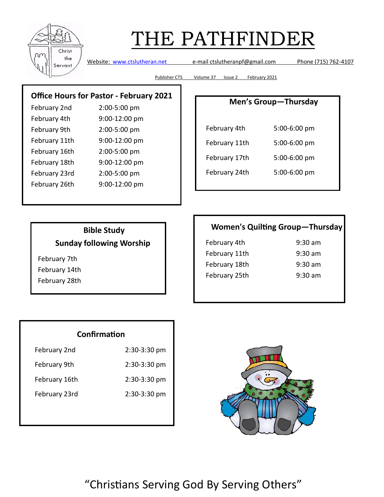

Website: [www.ctslutheran.net](http://www.ctslutheran.net/) e-mail ctslutheranpf@gmail.com Phone (715) 762-4107

Publisher CTS Volume 37 Issue 2 February 2021

### **Office Hours for Pastor - February 2021**

| February 2nd  | 2:00-5:00 pm  |
|---------------|---------------|
| February 4th  | 9:00-12:00 pm |
| February 9th  | 2:00-5:00 pm  |
| February 11th | 9:00-12:00 pm |
| February 16th | 2:00-5:00 pm  |
| February 18th | 9:00-12:00 pm |
| February 23rd | 2:00-5:00 pm  |
| February 26th | 9:00-12:00 pm |
|               |               |

### **Men's Group—Thursday**

| February 4th  | 5:00-6:00 pm |
|---------------|--------------|
| February 11th | 5:00-6:00 pm |
| February 17th | 5:00-6:00 pm |
| February 24th | 5:00-6:00 pm |

### **Bible Study Sunday following Worship**

February 7th February 14th February 28th

### **Women's Quilting Group—Thursday**

| February 4th  | $9:30 \text{ am}$ |
|---------------|-------------------|
| February 11th | $9:30$ am         |
| February 18th | $9:30$ am         |
| February 25th | $9:30 \text{ am}$ |

### **Confirmation**

| February 2nd  | 2:30-3:30 pm |
|---------------|--------------|
| February 9th  | 2:30-3:30 pm |
| February 16th | 2:30-3:30 pm |
| February 23rd | 2:30-3:30 pm |

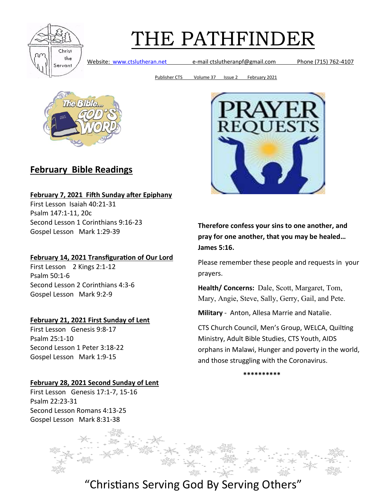

Website: [www.ctslutheran.net](http://www.ctslutheran.net/) e-mail ctslutheranpf@gmail.com Phone (715) 762-4107

Publisher CTS Volume 37 Issue 2 February 2021



## **February Bible Readings**

#### **February 7, 2021 Fifth Sunday after Epiphany**

First Lesson Isaiah 40:21-31 Psalm 147:1-11, 20c Second Lesson 1 Corinthians 9:16-23 Gospel Lesson Mark 1:29-39

#### **February 14, 2021 Transfiguration of Our Lord**

First Lesson 2 Kings 2:1-12 Psalm 50:1-6 Second Lesson 2 Corinthians 4:3-6 Gospel Lesson Mark 9:2-9

#### **February 21, 2021 First Sunday of Lent**

First Lesson Genesis 9:8-17 Psalm 25:1-10 Second Lesson 1 Peter 3:18-22 Gospel Lesson Mark 1:9-15

#### **February 28, 2021 Second Sunday of Lent**

First Lesson Genesis 17:1-7, 15-16 Psalm 22:23-31 Second Lesson Romans 4:13-25 Gospel Lesson Mark 8:31-38



**Therefore confess your sins to one another, and pray for one another, that you may be healed… James 5:16.**

Please remember these people and requests in your prayers.

**Health/ Concerns:** Dale, Scott, Margaret, Tom, Mary, Angie, Steve, Sally, Gerry, Gail, and Pete.

**Military** - Anton, Allesa Marrie and Natalie.

CTS Church Council, Men's Group, WELCA, Quilting Ministry, Adult Bible Studies, CTS Youth, AIDS orphans in Malawi, Hunger and poverty in the world, and those struggling with the Coronavirus.

**\*\*\*\*\*\*\*\*\*\***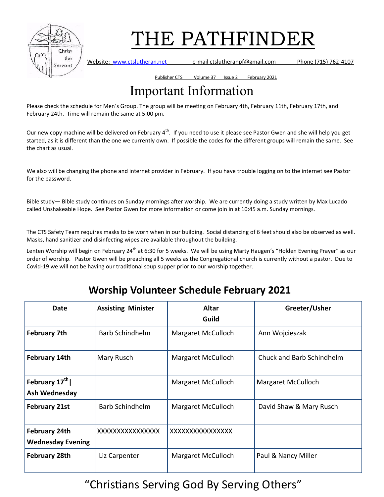

Website: [www.ctslutheran.net](http://www.ctslutheran.net/) e-mail ctslutheranpf@gmail.com Phone (715) 762-4107

Publisher CTS Volume 37 Issue 2 February 2021

## Important Information

Please check the schedule for Men's Group. The group will be meeting on February 4th, February 11th, February 17th, and February 24th. Time will remain the same at 5:00 pm.

Our new copy machine will be delivered on February 4<sup>th</sup>. If you need to use it please see Pastor Gwen and she will help you get started, as it is different than the one we currently own. If possible the codes for the different groups will remain the same. See the chart as usual.

We also will be changing the phone and internet provider in February. If you have trouble logging on to the internet see Pastor for the password.

Bible study— Bible study continues on Sunday mornings after worship. We are currently doing a study written by Max Lucado called Unshakeable Hope. See Pastor Gwen for more information or come join in at 10:45 a.m. Sunday mornings.

The CTS Safety Team requires masks to be worn when in our building. Social distancing of 6 feet should also be observed as well. Masks, hand sanitizer and disinfecting wipes are available throughout the building.

Lenten Worship will begin on February 24<sup>th</sup> at 6:30 for 5 weeks. We will be using Marty Haugen's "Holden Evening Prayer" as our order of worship. Pastor Gwen will be preaching all 5 weeks as the Congregational church is currently without a pastor. Due to Covid-19 we will not be having our traditional soup supper prior to our worship together.

## **Worship Volunteer Schedule February 2021**

| Date                                             | <b>Assisting Minister</b> | <b>Altar</b><br>Guild | Greeter/Usher             |
|--------------------------------------------------|---------------------------|-----------------------|---------------------------|
| <b>February 7th</b>                              | <b>Barb Schindhelm</b>    | Margaret McCulloch    | Ann Wojcieszak            |
| <b>February 14th</b>                             | Mary Rusch                | Margaret McCulloch    | Chuck and Barb Schindhelm |
| February 17 <sup>th</sup><br>Ash Wednesday       |                           | Margaret McCulloch    | Margaret McCulloch        |
| <b>February 21st</b>                             | <b>Barb Schindhelm</b>    | Margaret McCulloch    | David Shaw & Mary Rusch   |
| <b>February 24th</b><br><b>Wednesday Evening</b> | XXXXXXXXXXXXXXX           | XXXXXXXXXXXXXXX       |                           |
| <b>February 28th</b>                             | Liz Carpenter             | Margaret McCulloch    | Paul & Nancy Miller       |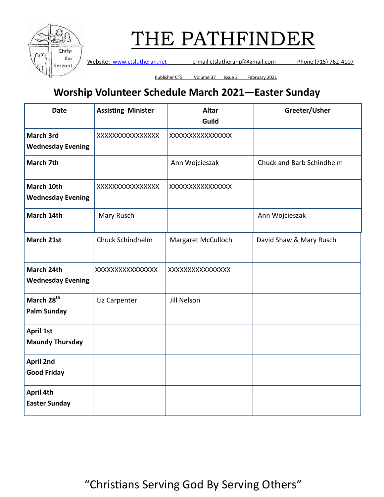

Website: [www.ctslutheran.net](http://www.ctslutheran.net/) e-mail ctslutheranpf@gmail.com Phone (715) 762-4107

Publisher CTS Volume 37 Issue 2 February 2021

## **Worship Volunteer Schedule March 2021—Easter Sunday**

| <b>Date</b>                                  | <b>Assisting Minister</b> | <b>Altar</b><br>Guild | Greeter/Usher             |
|----------------------------------------------|---------------------------|-----------------------|---------------------------|
| <b>March 3rd</b><br><b>Wednesday Evening</b> | XXXXXXXXXXXXXXX           | XXXXXXXXXXXXXXX       |                           |
| March 7th                                    |                           | Ann Wojcieszak        | Chuck and Barb Schindhelm |
| March 10th<br><b>Wednesday Evening</b>       | XXXXXXXXXXXXXXX           | XXXXXXXXXXXXXXX       |                           |
| March 14th                                   | Mary Rusch                |                       | Ann Wojcieszak            |
| March 21st                                   | Chuck Schindhelm          | Margaret McCulloch    | David Shaw & Mary Rusch   |
| March 24th<br><b>Wednesday Evening</b>       | XXXXXXXXXXXXXXXX          | XXXXXXXXXXXXXXX       |                           |
| March 28 <sup>th</sup><br><b>Palm Sunday</b> | Liz Carpenter             | Jill Nelson           |                           |
| <b>April 1st</b><br><b>Maundy Thursday</b>   |                           |                       |                           |
| <b>April 2nd</b><br><b>Good Friday</b>       |                           |                       |                           |
| April 4th<br><b>Easter Sunday</b>            |                           |                       |                           |